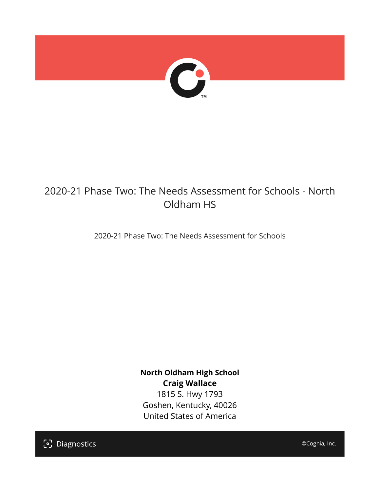

## 2020-21 Phase Two: The Needs Assessment for Schools - North Oldham HS

2020-21 Phase Two: The Needs Assessment for Schools

**North Oldham High School Craig Wallace** 1815 S. Hwy 1793 Goshen, Kentucky, 40026 United States of America

[၁] Diagnostics

©Cognia, Inc.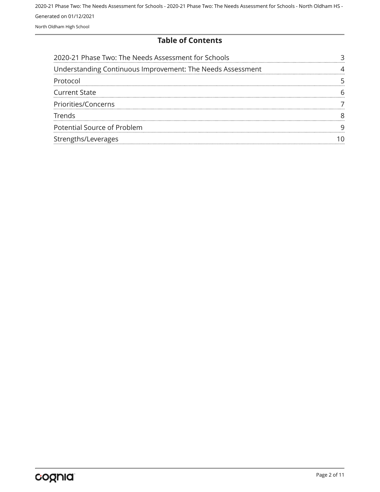#### **Table of Contents**

| 2020-21 Phase Two: The Needs Assessment for Schools        |  |
|------------------------------------------------------------|--|
| Understanding Continuous Improvement: The Needs Assessment |  |
| Protocol                                                   |  |
| <b>Current State</b>                                       |  |
| Priorities/Concerns                                        |  |
| <b>Trends</b>                                              |  |
| Potential Source of Problem                                |  |
| Strengths/Leverages                                        |  |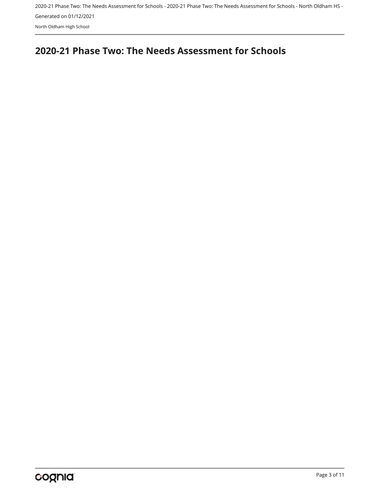## <span id="page-2-0"></span>**2020-21 Phase Two: The Needs Assessment for Schools**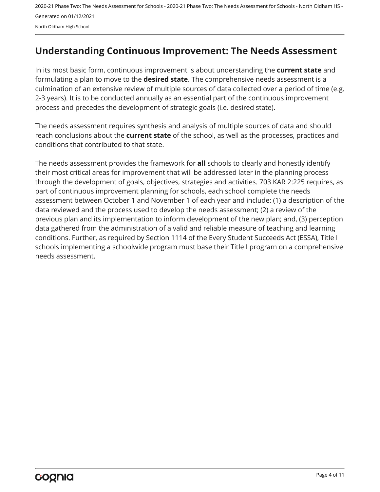## <span id="page-3-0"></span>**Understanding Continuous Improvement: The Needs Assessment**

In its most basic form, continuous improvement is about understanding the **current state** and formulating a plan to move to the **desired state**. The comprehensive needs assessment is a culmination of an extensive review of multiple sources of data collected over a period of time (e.g. 2-3 years). It is to be conducted annually as an essential part of the continuous improvement process and precedes the development of strategic goals (i.e. desired state).

The needs assessment requires synthesis and analysis of multiple sources of data and should reach conclusions about the **current state** of the school, as well as the processes, practices and conditions that contributed to that state.

The needs assessment provides the framework for **all** schools to clearly and honestly identify their most critical areas for improvement that will be addressed later in the planning process through the development of goals, objectives, strategies and activities. 703 KAR 2:225 requires, as part of continuous improvement planning for schools, each school complete the needs assessment between October 1 and November 1 of each year and include: (1) a description of the data reviewed and the process used to develop the needs assessment; (2) a review of the previous plan and its implementation to inform development of the new plan; and, (3) perception data gathered from the administration of a valid and reliable measure of teaching and learning conditions. Further, as required by Section 1114 of the Every Student Succeeds Act (ESSA), Title I schools implementing a schoolwide program must base their Title I program on a comprehensive needs assessment.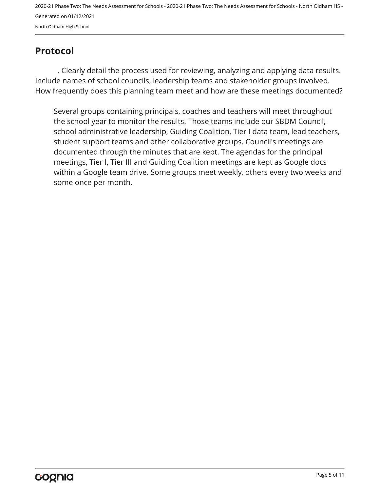## <span id="page-4-0"></span>**Protocol**

. Clearly detail the process used for reviewing, analyzing and applying data results. Include names of school councils, leadership teams and stakeholder groups involved. How frequently does this planning team meet and how are these meetings documented?

Several groups containing principals, coaches and teachers will meet throughout the school year to monitor the results. Those teams include our SBDM Council, school administrative leadership, Guiding Coalition, Tier I data team, lead teachers, student support teams and other collaborative groups. Council's meetings are documented through the minutes that are kept. The agendas for the principal meetings, Tier I, Tier III and Guiding Coalition meetings are kept as Google docs within a Google team drive. Some groups meet weekly, others every two weeks and some once per month.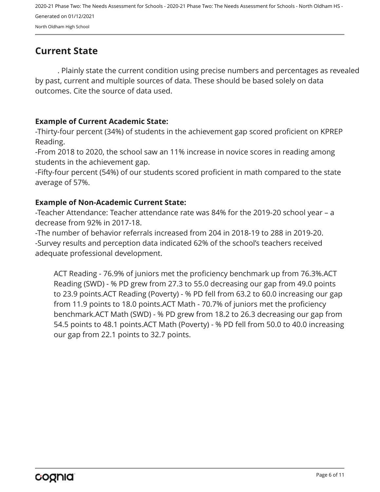## <span id="page-5-0"></span>**Current State**

. Plainly state the current condition using precise numbers and percentages as revealed by past, current and multiple sources of data. These should be based solely on data outcomes. Cite the source of data used.

#### **Example of Current Academic State:**

-Thirty-four percent (34%) of students in the achievement gap scored proficient on KPREP Reading.

-From 2018 to 2020, the school saw an 11% increase in novice scores in reading among students in the achievement gap.

-Fifty-four percent (54%) of our students scored proficient in math compared to the state average of 57%.

#### **Example of Non-Academic Current State:**

-Teacher Attendance: Teacher attendance rate was 84% for the 2019-20 school year – a decrease from 92% in 2017-18.

-The number of behavior referrals increased from 204 in 2018-19 to 288 in 2019-20. -Survey results and perception data indicated 62% of the school's teachers received adequate professional development.

ACT Reading - 76.9% of juniors met the proficiency benchmark up from 76.3%.ACT Reading (SWD) - % PD grew from 27.3 to 55.0 decreasing our gap from 49.0 points to 23.9 points.ACT Reading (Poverty) - % PD fell from 63.2 to 60.0 increasing our gap from 11.9 points to 18.0 points.ACT Math - 70.7% of juniors met the proficiency benchmark.ACT Math (SWD) - % PD grew from 18.2 to 26.3 decreasing our gap from 54.5 points to 48.1 points.ACT Math (Poverty) - % PD fell from 50.0 to 40.0 increasing our gap from 22.1 points to 32.7 points.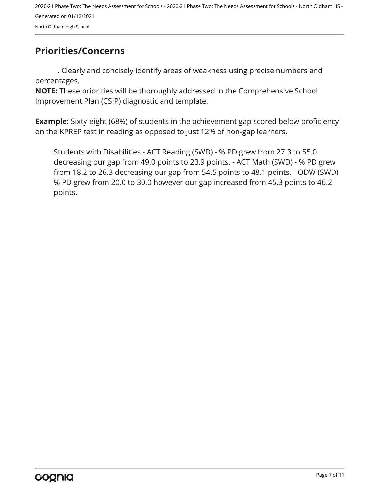## <span id="page-6-0"></span>**Priorities/Concerns**

. Clearly and concisely identify areas of weakness using precise numbers and percentages.

**NOTE:** These priorities will be thoroughly addressed in the Comprehensive School Improvement Plan (CSIP) diagnostic and template.

**Example:** Sixty-eight (68%) of students in the achievement gap scored below proficiency on the KPREP test in reading as opposed to just 12% of non-gap learners.

Students with Disabilities - ACT Reading (SWD) - % PD grew from 27.3 to 55.0 decreasing our gap from 49.0 points to 23.9 points. - ACT Math (SWD) - % PD grew from 18.2 to 26.3 decreasing our gap from 54.5 points to 48.1 points. - ODW (SWD) % PD grew from 20.0 to 30.0 however our gap increased from 45.3 points to 46.2 points.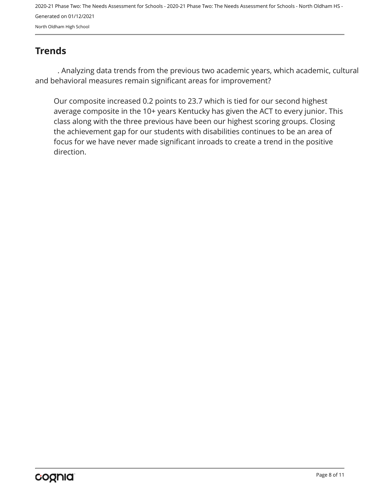## <span id="page-7-0"></span>**Trends**

. Analyzing data trends from the previous two academic years, which academic, cultural and behavioral measures remain significant areas for improvement?

Our composite increased 0.2 points to 23.7 which is tied for our second highest average composite in the 10+ years Kentucky has given the ACT to every junior. This class along with the three previous have been our highest scoring groups. Closing the achievement gap for our students with disabilities continues to be an area of focus for we have never made significant inroads to create a trend in the positive direction.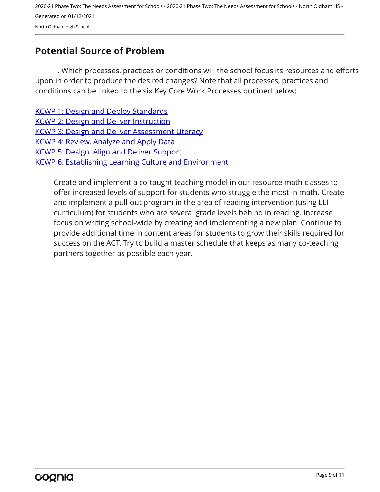## <span id="page-8-0"></span>**Potential Source of Problem**

. Which processes, practices or conditions will the school focus its resources and efforts upon in order to produce the desired changes? Note that all processes, practices and conditions can be linked to the six Key Core Work Processes outlined below:

[KCWP 1: Design and Deploy Standards](https://education.ky.gov/school/csip/Documents/KCWP 1 Strategic Design and Deploy Standards.pdf) [KCWP 2: Design and Deliver Instruction](https://education.ky.gov/school/csip/Documents/KCWP%202%20Strategic%20Design%20and%20Deliver%20Instruction.pdf) [KCWP 3: Design and Deliver Assessment Literacy](https://education.ky.gov/school/csip/Documents/KCWP%203%20Strategic%20Design%20and%20Deliver%20Assessment%20Literacy.pdf) [KCWP 4: Review, Analyze and Apply Data](https://education.ky.gov/school/csip/Documents/KCWP 4 Strategic Review Analyze and Apply Data.pdf) [KCWP 5: Design, Align and Deliver Support](https://education.ky.gov/school/csip/Documents/KCWP 5 Strategic Design Align Deliver Support Processes.pdf) [KCWP 6: Establishing Learning Culture and Environment](https://education.ky.gov/school/csip/Documents/KCWP 6 Strategic Establish Learning Culture and Environment.pdf)

Create and implement a co-taught teaching model in our resource math classes to offer increased levels of support for students who struggle the most in math. Create and implement a pull-out program in the area of reading intervention (using LLI curriculum) for students who are several grade levels behind in reading. Increase focus on writing school-wide by creating and implementing a new plan. Continue to provide additional time in content areas for students to grow their skills required for success on the ACT. Try to build a master schedule that keeps as many co-teaching partners together as possible each year.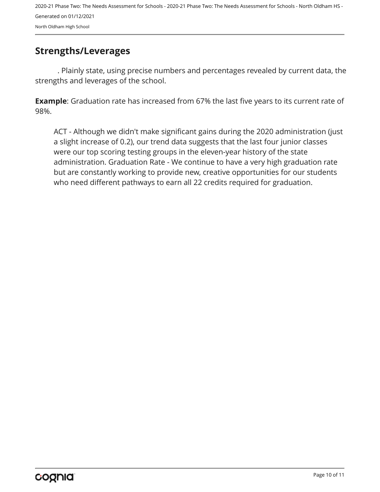### <span id="page-9-0"></span>**Strengths/Leverages**

. Plainly state, using precise numbers and percentages revealed by current data, the strengths and leverages of the school.

**Example**: Graduation rate has increased from 67% the last five years to its current rate of 98%.

ACT - Although we didn't make significant gains during the 2020 administration (just a slight increase of 0.2), our trend data suggests that the last four junior classes were our top scoring testing groups in the eleven-year history of the state administration. Graduation Rate - We continue to have a very high graduation rate but are constantly working to provide new, creative opportunities for our students who need different pathways to earn all 22 credits required for graduation.